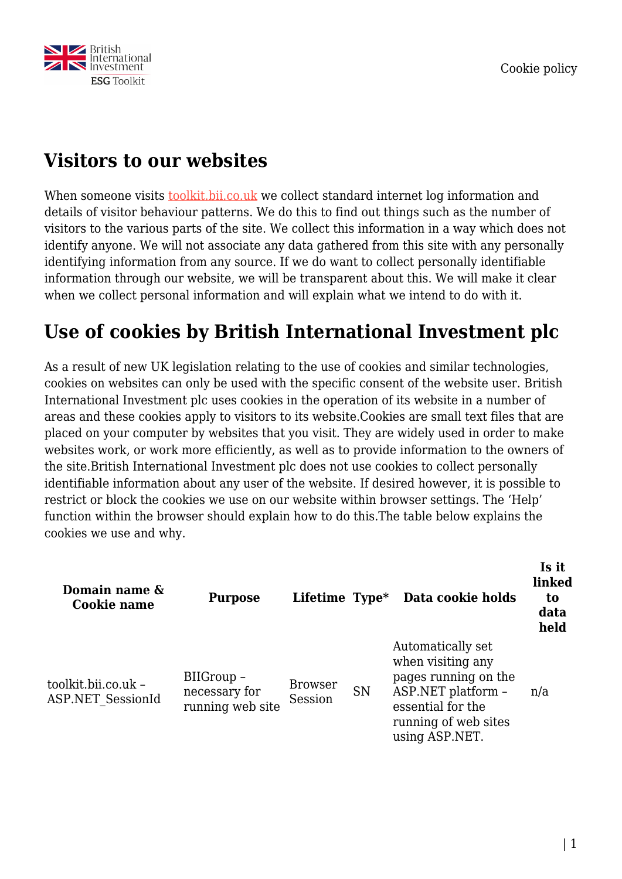

### **Visitors to our websites**

When someone visits [toolkit.bii.co.uk](https://toolkit.bii.co.uk/) we collect standard internet log information and details of visitor behaviour patterns. We do this to find out things such as the number of visitors to the various parts of the site. We collect this information in a way which does not identify anyone. We will not associate any data gathered from this site with any personally identifying information from any source. If we do want to collect personally identifiable information through our website, we will be transparent about this. We will make it clear when we collect personal information and will explain what we intend to do with it.

### **Use of cookies by British International Investment plc**

As a result of new UK legislation relating to the use of cookies and similar technologies, cookies on websites can only be used with the specific consent of the website user. British International Investment plc uses cookies in the operation of its website in a number of areas and these cookies apply to visitors to its website.Cookies are small text files that are placed on your computer by websites that you visit. They are widely used in order to make websites work, or work more efficiently, as well as to provide information to the owners of the site.British International Investment plc does not use cookies to collect personally identifiable information about any user of the website. If desired however, it is possible to restrict or block the cookies we use on our website within browser settings. The 'Help' function within the browser should explain how to do this.The table below explains the cookies we use and why.

| Domain name &<br>Cookie name                    | <b>Purpose</b>                                  | Lifetime $Type*$          |           | Data cookie holds                                                                                                                                   | Is it<br>linked<br>to<br>data<br>held |
|-------------------------------------------------|-------------------------------------------------|---------------------------|-----------|-----------------------------------------------------------------------------------------------------------------------------------------------------|---------------------------------------|
| toolkit.bii.co.uk -<br><b>ASP.NET SessionId</b> | BIIGroup -<br>necessary for<br>running web site | <b>Browser</b><br>Session | <b>SN</b> | Automatically set<br>when visiting any<br>pages running on the<br>ASP.NET platform -<br>essential for the<br>running of web sites<br>using ASP.NET. | n/a                                   |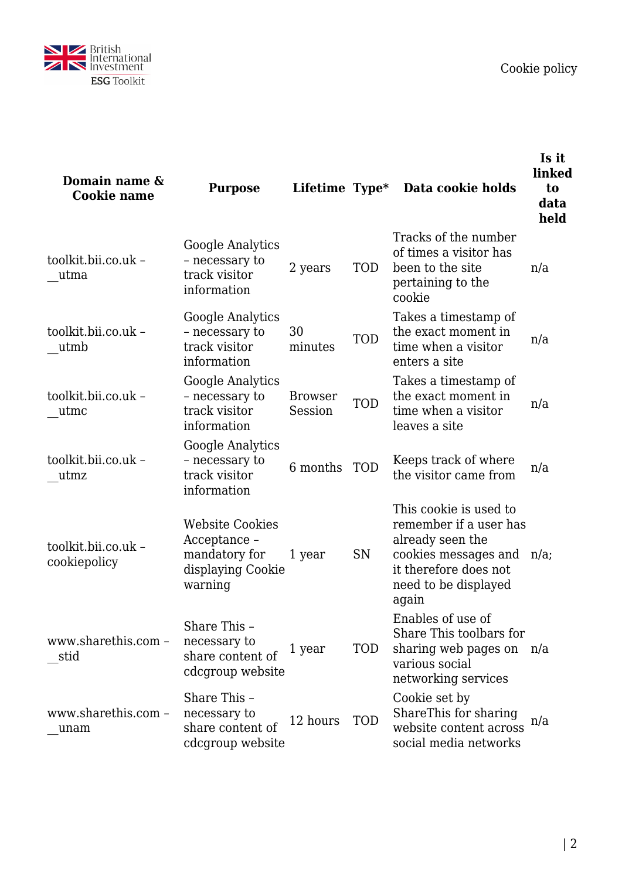

| Domain name &<br><b>Cookie name</b> | <b>Purpose</b>                                                                          | Lifetime Type*            |            | Data cookie holds                                                                                                                                           | Is it<br>linked<br>to<br>data<br>held |
|-------------------------------------|-----------------------------------------------------------------------------------------|---------------------------|------------|-------------------------------------------------------------------------------------------------------------------------------------------------------------|---------------------------------------|
| toolkit.bii.co.uk -<br>utma         | Google Analytics<br>- necessary to<br>track visitor<br>information                      | 2 years                   | <b>TOD</b> | Tracks of the number<br>of times a visitor has<br>been to the site<br>pertaining to the<br>cookie                                                           | n/a                                   |
| toolkit.bii.co.uk -<br>utmb         | Google Analytics<br>- necessary to<br>track visitor<br>information                      | 30<br>minutes             | <b>TOD</b> | Takes a timestamp of<br>the exact moment in<br>time when a visitor<br>enters a site                                                                         | n/a                                   |
| toolkit.bii.co.uk -<br>utmc         | Google Analytics<br>- necessary to<br>track visitor<br>information                      | <b>Browser</b><br>Session | <b>TOD</b> | Takes a timestamp of<br>the exact moment in<br>time when a visitor<br>leaves a site                                                                         | n/a                                   |
| toolkit.bii.co.uk -<br>utmz         | Google Analytics<br>- necessary to<br>track visitor<br>information                      | 6 months                  | <b>TOD</b> | Keeps track of where<br>the visitor came from                                                                                                               | n/a                                   |
| toolkit.bii.co.uk -<br>cookiepolicy | <b>Website Cookies</b><br>Acceptance -<br>mandatory for<br>displaying Cookie<br>warning | 1 year                    | SN         | This cookie is used to<br>remember if a user has<br>already seen the<br>cookies messages and n/a;<br>it therefore does not<br>need to be displayed<br>again |                                       |
| www.sharethis.com -<br>stid         | Share This -<br>necessary to<br>share content of<br>cdcgroup website                    | 1 year                    | <b>TOD</b> | Enables of use of<br>Share This toolbars for<br>sharing web pages on n/a<br>various social<br>networking services                                           |                                       |
| www.sharethis.com -<br>unam         | Share This -<br>necessary to<br>share content of<br>cdcgroup website                    | 12 hours                  | <b>TOD</b> | Cookie set by<br>ShareThis for sharing<br>website content across<br>social media networks                                                                   | n/a                                   |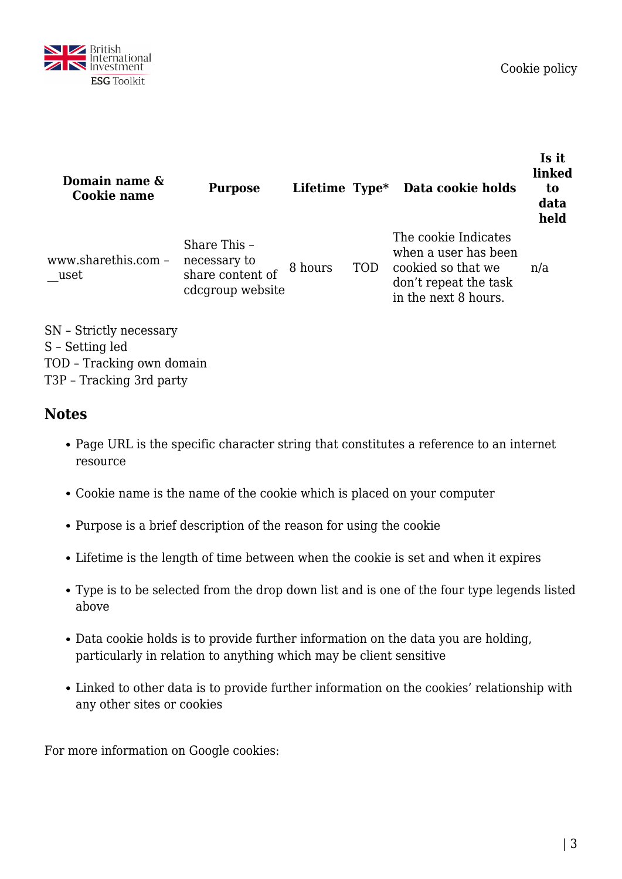

| Domain name &<br>Cookie name | <b>Purpose</b>                                                       |         |            | Lifetime Type* Data cookie holds                                                                                    | Is it<br>linked<br>to<br>data<br>held |
|------------------------------|----------------------------------------------------------------------|---------|------------|---------------------------------------------------------------------------------------------------------------------|---------------------------------------|
| www.sharethis.com -<br>uset  | Share This -<br>necessary to<br>share content of<br>cdcgroup website | 8 hours | <b>TOD</b> | The cookie Indicates<br>when a user has been<br>cookied so that we<br>don't repeat the task<br>in the next 8 hours. | n/a                                   |

SN – Strictly necessary S – Setting led TOD – Tracking own domain T3P – Tracking 3rd party

### **Notes**

- Page URL is the specific character string that constitutes a reference to an internet resource
- Cookie name is the name of the cookie which is placed on your computer
- Purpose is a brief description of the reason for using the cookie
- Lifetime is the length of time between when the cookie is set and when it expires
- Type is to be selected from the drop down list and is one of the four type legends listed above
- Data cookie holds is to provide further information on the data you are holding, particularly in relation to anything which may be client sensitive
- Linked to other data is to provide further information on the cookies' relationship with any other sites or cookies

For more information on Google cookies: